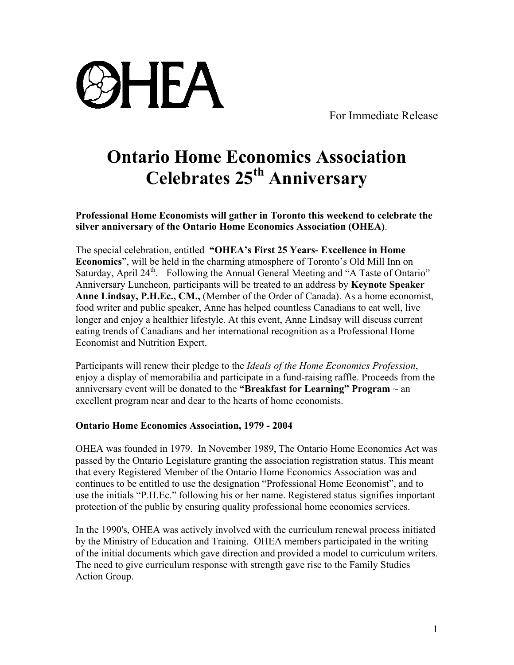

For Immediate Release

## **Ontario Home Economics Association Celebrates 25th Anniversary**

**Professional Home Economists will gather in Toronto this weekend to celebrate the silver anniversary of the Ontario Home Economics Association (OHEA)**.

The special celebration, entitled **"OHEA's First 25 Years- Excellence in Home Economics**", will be held in the charming atmosphere of Toronto's Old Mill Inn on Saturday, April 24<sup>th</sup>. Following the Annual General Meeting and "A Taste of Ontario" Anniversary Luncheon, participants will be treated to an address by **Keynote Speaker Anne Lindsay, P.H.Ec., CM.,** (Member of the Order of Canada). As a home economist, food writer and public speaker, Anne has helped countless Canadians to eat well, live longer and enjoy a healthier lifestyle. At this event, Anne Lindsay will discuss current eating trends of Canadians and her international recognition as a Professional Home Economist and Nutrition Expert.

Participants will renew their pledge to the *Ideals of the Home Economics Profession*, enjoy a display of memorabilia and participate in a fund-raising raffle. Proceeds from the anniversary event will be donated to the **"Breakfast for Learning" Program**  $\sim$  an excellent program near and dear to the hearts of home economists.

## **Ontario Home Economics Association, 1979 - 2004**

OHEA was founded in 1979. In November 1989, The Ontario Home Economics Act was passed by the Ontario Legislature granting the association registration status. This meant that every Registered Member of the Ontario Home Economics Association was and continues to be entitled to use the designation "Professional Home Economist", and to use the initials "P.H.Ec." following his or her name. Registered status signifies important protection of the public by ensuring quality professional home economics services.

In the 1990's, OHEA was actively involved with the curriculum renewal process initiated by the Ministry of Education and Training. OHEA members participated in the writing of the initial documents which gave direction and provided a model to curriculum writers. The need to give curriculum response with strength gave rise to the Family Studies Action Group.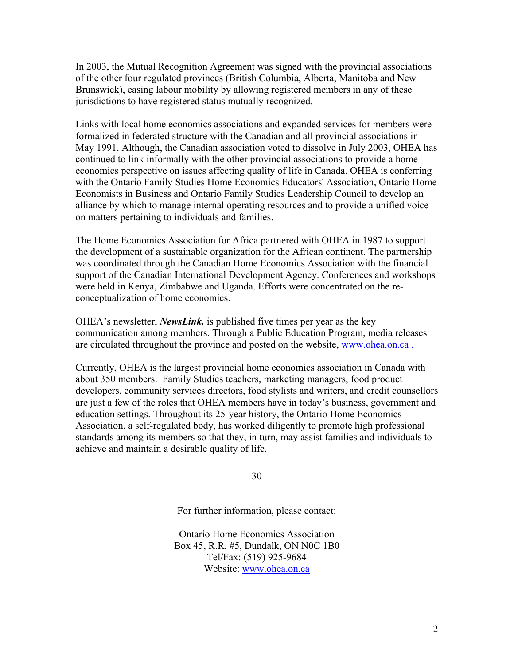In 2003, the Mutual Recognition Agreement was signed with the provincial associations of the other four regulated provinces (British Columbia, Alberta, Manitoba and New Brunswick), easing labour mobility by allowing registered members in any of these jurisdictions to have registered status mutually recognized.

Links with local home economics associations and expanded services for members were formalized in federated structure with the Canadian and all provincial associations in May 1991. Although, the Canadian association voted to dissolve in July 2003, OHEA has continued to link informally with the other provincial associations to provide a home economics perspective on issues affecting quality of life in Canada. OHEA is conferring with the Ontario Family Studies Home Economics Educators' Association, Ontario Home Economists in Business and Ontario Family Studies Leadership Council to develop an alliance by which to manage internal operating resources and to provide a unified voice on matters pertaining to individuals and families.

The Home Economics Association for Africa partnered with OHEA in 1987 to support the development of a sustainable organization for the African continent. The partnership was coordinated through the Canadian Home Economics Association with the financial support of the Canadian International Development Agency. Conferences and workshops were held in Kenya, Zimbabwe and Uganda. Efforts were concentrated on the reconceptualization of home economics.

OHEA's newsletter, *NewsLink,* is published five times per year as the key communication among members. Through a Public Education Program, media releases are circulated throughout the province and posted on the website, www.ohea.on.ca .

Currently, OHEA is the largest provincial home economics association in Canada with about 350 members. Family Studies teachers, marketing managers, food product developers, community services directors, food stylists and writers, and credit counsellors are just a few of the roles that OHEA members have in today's business, government and education settings. Throughout its 25-year history, the Ontario Home Economics Association, a self-regulated body, has worked diligently to promote high professional standards among its members so that they, in turn, may assist families and individuals to achieve and maintain a desirable quality of life.

- 30 -

For further information, please contact:

Ontario Home Economics Association Box 45, R.R. #5, Dundalk, ON N0C 1B0 Tel/Fax: (519) 925-9684 Website: www.ohea.on.ca